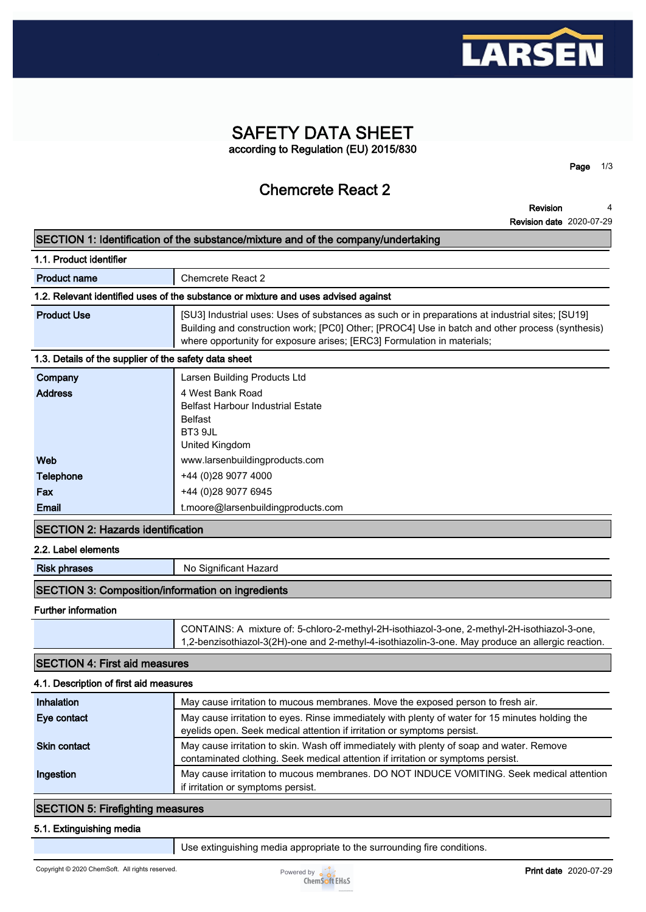

### **SAFETY DATA SHEET according to Regulation (EU) 2015/830**

**Chemcrete React 2**

**Revision Revision date 2020-07-29 4**

**Page 1/3**

| SECTION 1: Identification of the substance/mixture and of the company/undertaking |                                                                                                                                                                                                                                                                                |  |
|-----------------------------------------------------------------------------------|--------------------------------------------------------------------------------------------------------------------------------------------------------------------------------------------------------------------------------------------------------------------------------|--|
| 1.1. Product identifier                                                           |                                                                                                                                                                                                                                                                                |  |
| <b>Product name</b>                                                               | Chemcrete React 2                                                                                                                                                                                                                                                              |  |
|                                                                                   | 1.2. Relevant identified uses of the substance or mixture and uses advised against                                                                                                                                                                                             |  |
| <b>Product Use</b>                                                                | [SU3] Industrial uses: Uses of substances as such or in preparations at industrial sites; [SU19]<br>Building and construction work; [PC0] Other; [PROC4] Use in batch and other process (synthesis)<br>where opportunity for exposure arises; [ERC3] Formulation in materials; |  |
| 1.3. Details of the supplier of the safety data sheet                             |                                                                                                                                                                                                                                                                                |  |
| Company<br><b>Address</b>                                                         | Larsen Building Products Ltd<br>4 West Bank Road<br><b>Belfast Harbour Industrial Estate</b><br><b>Belfast</b><br>BT3 9JL<br><b>United Kingdom</b>                                                                                                                             |  |
| Web                                                                               | www.larsenbuildingproducts.com                                                                                                                                                                                                                                                 |  |
| <b>Telephone</b>                                                                  | +44 (0)28 9077 4000                                                                                                                                                                                                                                                            |  |
| Fax                                                                               | +44 (0)28 9077 6945                                                                                                                                                                                                                                                            |  |
| Email                                                                             | t.moore@larsenbuildingproducts.com                                                                                                                                                                                                                                             |  |
| <b>SECTION 2: Hazards identification</b>                                          |                                                                                                                                                                                                                                                                                |  |
| 2.2. Label elements                                                               |                                                                                                                                                                                                                                                                                |  |
| <b>Risk phrases</b>                                                               | No Significant Hazard                                                                                                                                                                                                                                                          |  |
| <b>SECTION 3: Composition/information on ingredients</b>                          |                                                                                                                                                                                                                                                                                |  |
| <b>Further information</b>                                                        |                                                                                                                                                                                                                                                                                |  |
|                                                                                   | CONTAINS: A mixture of: 5-chloro-2-methyl-2H-isothiazol-3-one, 2-methyl-2H-isothiazol-3-one,<br>1,2-benzisothiazol-3(2H)-one and 2-methyl-4-isothiazolin-3-one. May produce an allergic reaction.                                                                              |  |
| <b>SECTION 4: First aid measures</b>                                              |                                                                                                                                                                                                                                                                                |  |
| 4.1. Description of first aid measures                                            |                                                                                                                                                                                                                                                                                |  |
| Inhalation                                                                        | May cause irritation to mucous membranes. Move the exposed person to fresh air.                                                                                                                                                                                                |  |
| Eye contact                                                                       | May cause irritation to eyes. Rinse immediately with plenty of water for 15 minutes holding the<br>eyelids open. Seek medical attention if irritation or symptoms persist.                                                                                                     |  |
| <b>Skin contact</b>                                                               | May cause irritation to skin. Wash off immediately with plenty of soap and water. Remove<br>contaminated clothing. Seek medical attention if irritation or symptoms persist.                                                                                                   |  |
| Ingestion                                                                         | May cause irritation to mucous membranes. DO NOT INDUCE VOMITING. Seek medical attention<br>if irritation or symptoms persist.                                                                                                                                                 |  |
| <b>SECTION 5: Firefighting measures</b>                                           |                                                                                                                                                                                                                                                                                |  |
| 5.1. Extinguishing media                                                          |                                                                                                                                                                                                                                                                                |  |

**Use extinguishing media appropriate to the surrounding fire conditions.**

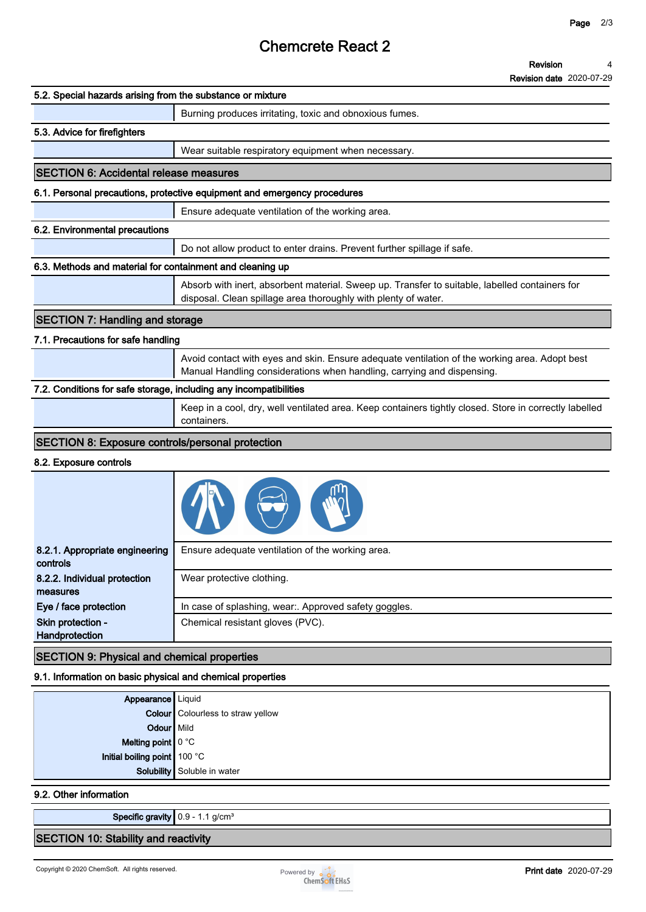## **Chemcrete React 2**

|                                                                   | <b>Revision date 2020-07-29</b>                                                                                                                                         |
|-------------------------------------------------------------------|-------------------------------------------------------------------------------------------------------------------------------------------------------------------------|
| 5.2. Special hazards arising from the substance or mixture        |                                                                                                                                                                         |
|                                                                   | Burning produces irritating, toxic and obnoxious fumes.                                                                                                                 |
| 5.3. Advice for firefighters                                      |                                                                                                                                                                         |
|                                                                   | Wear suitable respiratory equipment when necessary.                                                                                                                     |
| <b>SECTION 6: Accidental release measures</b>                     |                                                                                                                                                                         |
|                                                                   | 6.1. Personal precautions, protective equipment and emergency procedures                                                                                                |
|                                                                   | Ensure adequate ventilation of the working area.                                                                                                                        |
| 6.2. Environmental precautions                                    |                                                                                                                                                                         |
|                                                                   | Do not allow product to enter drains. Prevent further spillage if safe.                                                                                                 |
| 6.3. Methods and material for containment and cleaning up         |                                                                                                                                                                         |
|                                                                   | Absorb with inert, absorbent material. Sweep up. Transfer to suitable, labelled containers for<br>disposal. Clean spillage area thoroughly with plenty of water.        |
| <b>SECTION 7: Handling and storage</b>                            |                                                                                                                                                                         |
| 7.1. Precautions for safe handling                                |                                                                                                                                                                         |
|                                                                   | Avoid contact with eyes and skin. Ensure adequate ventilation of the working area. Adopt best<br>Manual Handling considerations when handling, carrying and dispensing. |
| 7.2. Conditions for safe storage, including any incompatibilities |                                                                                                                                                                         |
|                                                                   | Keep in a cool, dry, well ventilated area. Keep containers tightly closed. Store in correctly labelled<br>containers.                                                   |
| <b>SECTION 8: Exposure controls/personal protection</b>           |                                                                                                                                                                         |
| 8.2. Exposure controls                                            |                                                                                                                                                                         |
|                                                                   |                                                                                                                                                                         |
| 8.2.1. Appropriate engineering<br><b>controls</b>                 | Ensure adequate ventilation of the working area.                                                                                                                        |
| 8.2.2. Individual protection<br>measures                          | Wear protective clothing.                                                                                                                                               |
| Eye / face protection                                             | In case of splashing, wear:. Approved safety goggles.                                                                                                                   |
| Skin protection -<br>Handprotection                               | Chemical resistant gloves (PVC).                                                                                                                                        |
| <b>SECTION 9: Physical and chemical properties</b>                |                                                                                                                                                                         |

**9.1. Information on basic physical and chemical properties**

|                                                    | <b>Appearance</b> Liquid<br><b>Colour</b> Colourless to straw yellow |
|----------------------------------------------------|----------------------------------------------------------------------|
| Odour Mild                                         |                                                                      |
|                                                    |                                                                      |
| Melting point 0 °C<br>Initial boiling point 100 °C |                                                                      |
|                                                    | Solubility Soluble in water                                          |
|                                                    |                                                                      |

#### **9.2. Other information**

**Specific gravity 0.9 - 1.1 g/cm³**

#### **SECTION 10: Stability and reactivity**